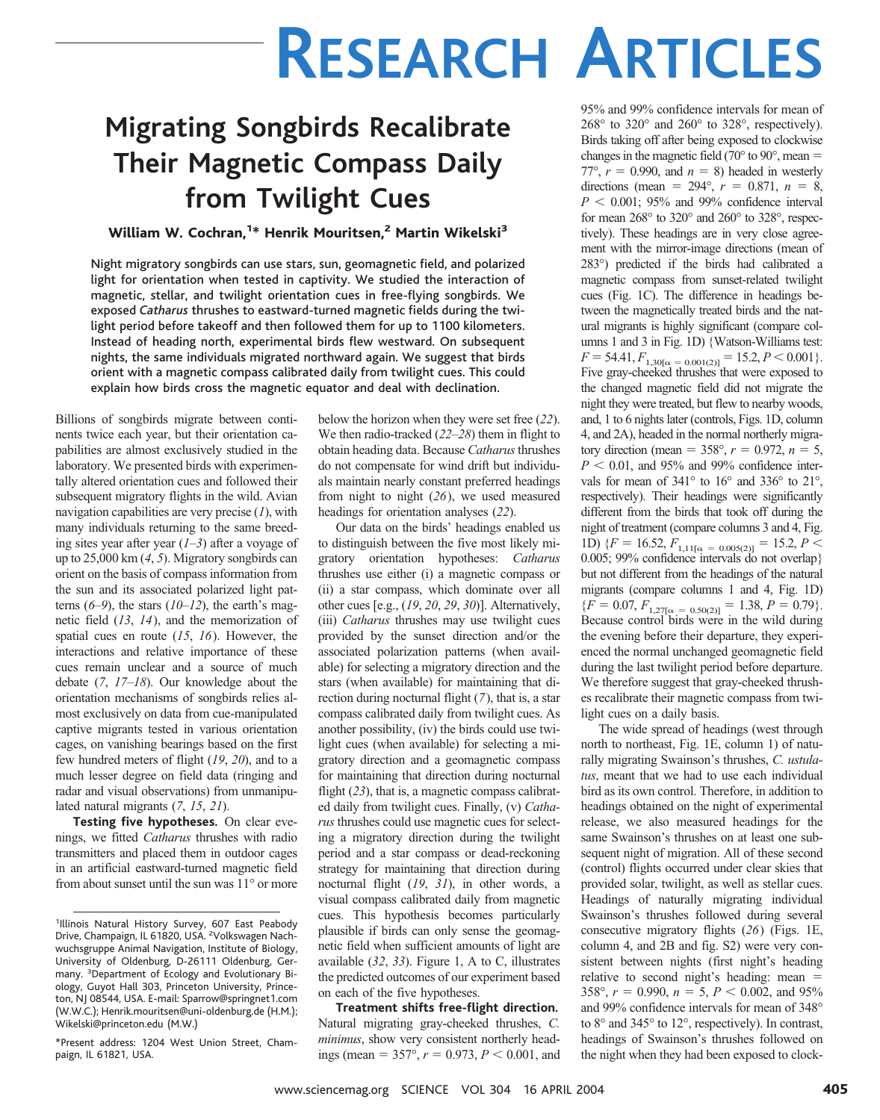# **RESEARCH ARTICLES**

## **Migrating Songbirds Recalibrate Their Magnetic Compass Daily from Twilight Cues**

William W. Cochran,<sup>1\*</sup> Henrik Mouritsen,<sup>2</sup> Martin Wikelski<sup>3</sup>

Night migratory songbirds can use stars, sun, geomagnetic field, and polarized light for orientation when tested in captivity. We studied the interaction of magnetic, stellar, and twilight orientation cues in free-flying songbirds. We exposed *Catharus* thrushes to eastward-turned magnetic fields during the twilight period before takeoff and then followed them for up to 1100 kilometers. Instead of heading north, experimental birds flew westward. On subsequent nights, the same individuals migrated northward again. We suggest that birds orient with a magnetic compass calibrated daily from twilight cues. This could explain how birds cross the magnetic equator and deal with declination.

Billions of songbirds migrate between continents twice each year, but their orientation capabilities are almost exclusively studied in the laboratory. We presented birds with experimentally altered orientation cues and followed their subsequent migratory flights in the wild. Avian navigation capabilities are very precise (*1*), with many individuals returning to the same breeding sites year after year (*1*–*3*) after a voyage of up to 25,000 km (*4*, *5*). Migratory songbirds can orient on the basis of compass information from the sun and its associated polarized light patterns  $(6-9)$ , the stars  $(10-12)$ , the earth's magnetic field (*13*, *14*), and the memorization of spatial cues en route (*15*, *16*). However, the interactions and relative importance of these cues remain unclear and a source of much debate (*7*, *17*–*18*). Our knowledge about the orientation mechanisms of songbirds relies almost exclusively on data from cue-manipulated captive migrants tested in various orientation cages, on vanishing bearings based on the first few hundred meters of flight (*19*, *20*), and to a much lesser degree on field data (ringing and radar and visual observations) from unmanipulated natural migrants (*7*, *15*, *21*).

**Testing five hypotheses.** On clear evenings, we fitted *Catharus* thrushes with radio transmitters and placed them in outdoor cages in an artificial eastward-turned magnetic field from about sunset until the sun was 11° or more

\*Present address: 1204 West Union Street, Champaign, IL 61821, USA.

below the horizon when they were set free (*22*). We then radio-tracked (*22*–*28*) them in flight to obtain heading data. Because *Catharus*thrushes do not compensate for wind drift but individuals maintain nearly constant preferred headings from night to night (*26*), we used measured headings for orientation analyses (*22*).

Our data on the birds' headings enabled us to distinguish between the five most likely migratory orientation hypotheses: *Catharus* thrushes use either (i) a magnetic compass or (ii) a star compass, which dominate over all other cues [e.g., (*19*, *20*, *29*, *30*)]. Alternatively, (iii) *Catharus* thrushes may use twilight cues provided by the sunset direction and/or the associated polarization patterns (when available) for selecting a migratory direction and the stars (when available) for maintaining that direction during nocturnal flight (*7*), that is, a star compass calibrated daily from twilight cues. As another possibility, (iv) the birds could use twilight cues (when available) for selecting a migratory direction and a geomagnetic compass for maintaining that direction during nocturnal flight (23), that is, a magnetic compass calibrated daily from twilight cues. Finally, (v) *Catharus* thrushes could use magnetic cues for selecting a migratory direction during the twilight period and a star compass or dead-reckoning strategy for maintaining that direction during nocturnal flight (*19*, *31*), in other words, a visual compass calibrated daily from magnetic cues. This hypothesis becomes particularly plausible if birds can only sense the geomagnetic field when sufficient amounts of light are available (*32*, *33*). Figure 1, A to C, illustrates the predicted outcomes of our experiment based on each of the five hypotheses.

**Treatment shifts free-flight direction.** Natural migrating gray-cheeked thrushes, *C. minimus*, show very consistent northerly headings (mean =  $357^{\circ}$ ,  $r = 0.973$ ,  $P < 0.001$ , and 95% and 99% confidence intervals for mean of 268° to 320° and 260° to 328°, respectively). Birds taking off after being exposed to clockwise changes in the magnetic field (70 $\degree$  to 90 $\degree$ , mean = 77°,  $r = 0.990$ , and  $n = 8$ ) headed in westerly directions (mean = 294°,  $r = 0.871$ ,  $n = 8$ ,  $P < 0.001$ ; 95% and 99% confidence interval for mean 268° to 320° and 260° to 328°, respectively). These headings are in very close agreement with the mirror-image directions (mean of 283°) predicted if the birds had calibrated a magnetic compass from sunset-related twilight cues (Fig. 1C). The difference in headings between the magnetically treated birds and the natural migrants is highly significant (compare columns 1 and 3 in Fig. 1D) {Watson-Williams test:  $F = 54.41, F_{1,30[\alpha = 0.001(2)]} = 15.2, P < 0.001$ . Five gray-cheeked thrushes that were exposed to the changed magnetic field did not migrate the night they were treated, but flew to nearby woods, and, 1 to 6 nights later (controls, Figs. 1D, column 4, and 2A), headed in the normal northerly migratory direction (mean =  $358^{\circ}$ ,  $r = 0.972$ ,  $n = 5$ ,  $P < 0.01$ , and 95% and 99% confidence intervals for mean of 341° to 16° and 336° to 21°, respectively). Their headings were significantly different from the birds that took off during the night of treatment (compare columns 3 and 4, Fig. 1D) {*F* = 16.52,  $F_{1,11[\alpha = 0.005(2)]} = 15.2, P <$ 0.005; 99% confidence intervals do not overlap} but not different from the headings of the natural migrants (compare columns 1 and 4, Fig. 1D)  ${F = 0.07, F_{1,27\text{r}} = 0.50(2)} = 1.38, P = 0.79}.$ Because control birds were in the wild during the evening before their departure, they experienced the normal unchanged geomagnetic field during the last twilight period before departure. We therefore suggest that gray-cheeked thrushes recalibrate their magnetic compass from twilight cues on a daily basis.

The wide spread of headings (west through north to northeast, Fig. 1E, column 1) of naturally migrating Swainson's thrushes, *C. ustulatus*, meant that we had to use each individual bird as its own control. Therefore, in addition to headings obtained on the night of experimental release, we also measured headings for the same Swainson's thrushes on at least one subsequent night of migration. All of these second (control) flights occurred under clear skies that provided solar, twilight, as well as stellar cues. Headings of naturally migrating individual Swainson's thrushes followed during several consecutive migratory flights (*26*) (Figs. 1E, column 4, and 2B and fig. S2) were very consistent between nights (first night's heading relative to second night's heading: mean 358°,  $r = 0.990$ ,  $n = 5$ ,  $P < 0.002$ , and 95% and 99% confidence intervals for mean of 348° to 8° and 345° to 12°, respectively). In contrast, headings of Swainson's thrushes followed on the night when they had been exposed to clock-

<sup>1</sup>Illinois Natural History Survey, 607 East Peabody Drive, Champaign, IL 61820, USA. <sup>2</sup>Volkswagen Nachwuchsgruppe Animal Navigation, Institute of Biology, University of Oldenburg, D-26111 Oldenburg, Germany. <sup>3</sup>Department of Ecology and Evolutionary Biology, Guyot Hall 303, Princeton University, Princeton, NJ 08544, USA. E-mail: Sparrow@springnet1.com (W.W.C.); Henrik.mouritsen@uni-oldenburg.de (H.M.); Wikelski@princeton.edu (M.W.)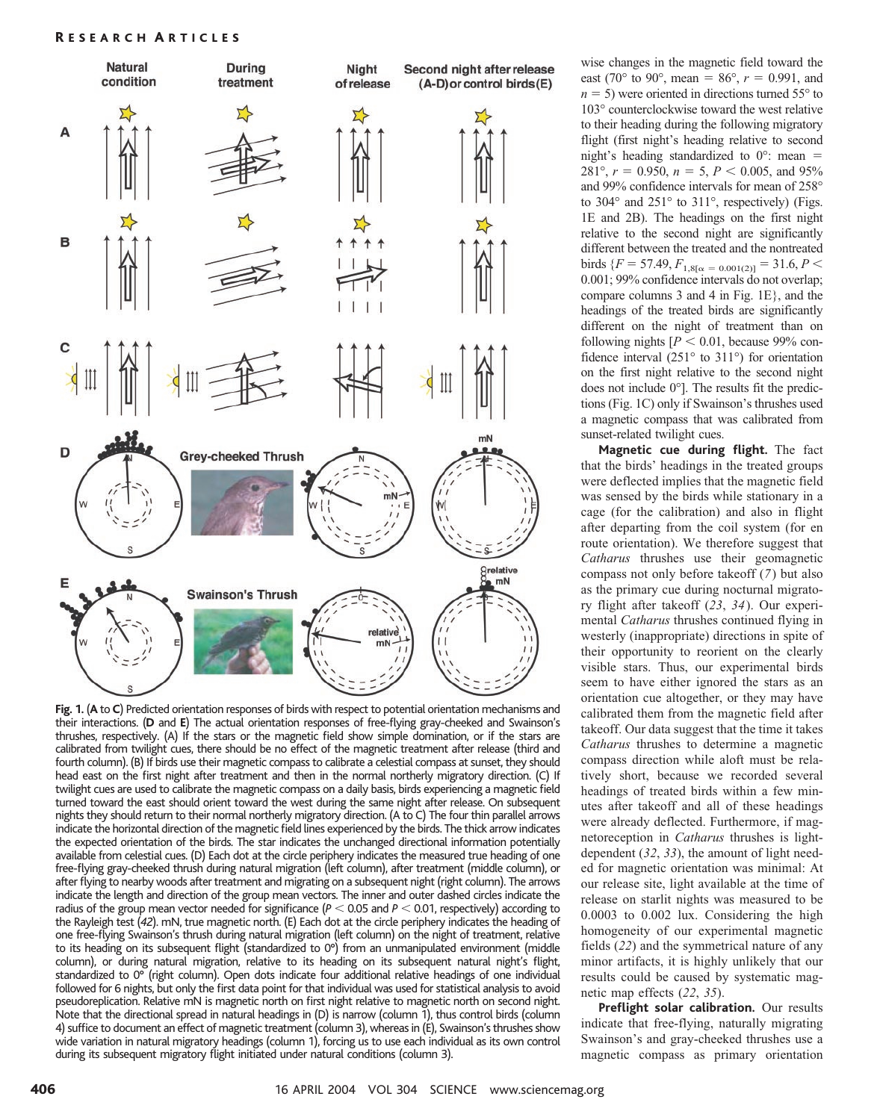

**Fig. 1.** (**A** to **C**) Predicted orientation responses of birds with respect to potential orientation mechanisms and their interactions. (**D** and **E**) The actual orientation responses of free-flying gray-cheeked and Swainson's thrushes, respectively. (A) If the stars or the magnetic field show simple domination, or if the stars are calibrated from twilight cues, there should be no effect of the magnetic treatment after release (third and fourth column). (B) If birds use their magnetic compass to calibrate a celestial compass at sunset, they should head east on the first night after treatment and then in the normal northerly migratory direction. (C) If twilight cues are used to calibrate the magnetic compass on a daily basis, birds experiencing a magnetic field turned toward the east should orient toward the west during the same night after release. On subsequent nights they should return to their normal northerly migratory direction. (A to C) The four thin parallel arrows indicate the horizontal direction of the magnetic field lines experienced by the birds. The thick arrow indicates the expected orientation of the birds. The star indicates the unchanged directional information potentially available from celestial cues. (D) Each dot at the circle periphery indicates the measured true heading of one free-flying gray-cheeked thrush during natural migration (left column), after treatment (middle column), or after flying to nearby woods after treatment and migrating on a subsequent night (right column). The arrows indicate the length and direction of the group mean vectors. The inner and outer dashed circles indicate the radius of the group mean vector needed for significance ( $\mathit{P} <$  0.05 and  $\mathit{P} <$  0.01, respectively) according to the Rayleigh test (*42*). mN, true magnetic north. (E) Each dot at the circle periphery indicates the heading of one free-flying Swainson's thrush during natural migration (left column) on the night of treatment, relative to its heading on its subsequent flight (standardized to 0°) from an unmanipulated environment (middle column), or during natural migration, relative to its heading on its subsequent natural night's flight, standardized to 0° (right column). Open dots indicate four additional relative headings of one individual followed for 6 nights, but only the first data point for that individual was used for statistical analysis to avoid pseudoreplication. Relative mN is magnetic north on first night relative to magnetic north on second night. Note that the directional spread in natural headings in (D) is narrow (column 1), thus control birds (column 4) suffice to document an effect of magnetic treatment (column 3), whereas in (E), Swainson's thrushes show wide variation in natural migratory headings (column 1), forcing us to use each individual as its own control during its subsequent migratory flight initiated under natural conditions (column 3).

wise changes in the magnetic field toward the east (70 $\degree$  to 90 $\degree$ , mean = 86 $\degree$ ,  $r = 0.991$ , and  $n = 5$ ) were oriented in directions turned 55 $\degree$  to 103° counterclockwise toward the west relative to their heading during the following migratory flight (first night's heading relative to second night's heading standardized to  $0^{\circ}$ : mean =  $281^\circ$ ,  $r = 0.950$ ,  $n = 5$ ,  $P < 0.005$ , and 95% and 99% confidence intervals for mean of 258° to 304° and 251° to 311°, respectively) (Figs. 1E and 2B). The headings on the first night relative to the second night are significantly different between the treated and the nontreated  $\text{birds } \{F = 57.49, F_{1,8[\alpha] = 0.001(2)]} = 31.6, P <$ 0.001; 99% confidence intervals do not overlap; compare columns 3 and 4 in Fig. 1E}, and the headings of the treated birds are significantly different on the night of treatment than on following nights  $[P < 0.01$ , because 99% confidence interval (251° to 311°) for orientation on the first night relative to the second night does not include 0°]. The results fit the predictions (Fig. 1C) only if Swainson's thrushes used a magnetic compass that was calibrated from sunset-related twilight cues.

**Magnetic cue during flight.** The fact that the birds' headings in the treated groups were deflected implies that the magnetic field was sensed by the birds while stationary in a cage (for the calibration) and also in flight after departing from the coil system (for en route orientation). We therefore suggest that *Catharus* thrushes use their geomagnetic compass not only before takeoff (*7*) but also as the primary cue during nocturnal migratory flight after takeoff (*23*, *34*). Our experimental *Catharus* thrushes continued flying in westerly (inappropriate) directions in spite of their opportunity to reorient on the clearly visible stars. Thus, our experimental birds seem to have either ignored the stars as an orientation cue altogether, or they may have calibrated them from the magnetic field after takeoff. Our data suggest that the time it takes *Catharus* thrushes to determine a magnetic compass direction while aloft must be relatively short, because we recorded several headings of treated birds within a few minutes after takeoff and all of these headings were already deflected. Furthermore, if magnetoreception in *Catharus* thrushes is lightdependent (*32*, *33*), the amount of light needed for magnetic orientation was minimal: At our release site, light available at the time of release on starlit nights was measured to be 0.0003 to 0.002 lux. Considering the high homogeneity of our experimental magnetic fields (*22*) and the symmetrical nature of any minor artifacts, it is highly unlikely that our results could be caused by systematic magnetic map effects (*22*, *35*).

**Preflight solar calibration.** Our results indicate that free-flying, naturally migrating Swainson's and gray-cheeked thrushes use a magnetic compass as primary orientation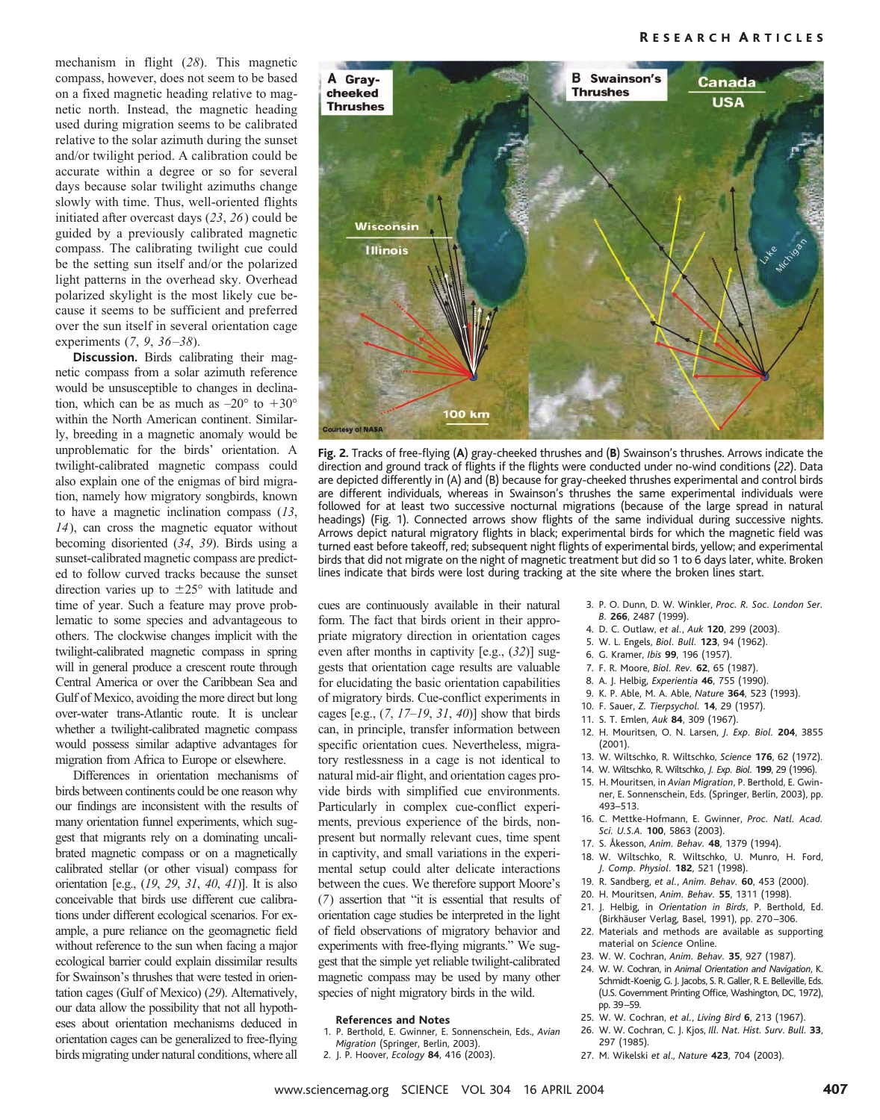mechanism in flight (*28*). This magnetic compass, however, does not seem to be based on a fixed magnetic heading relative to magnetic north. Instead, the magnetic heading used during migration seems to be calibrated relative to the solar azimuth during the sunset and/or twilight period. A calibration could be accurate within a degree or so for several days because solar twilight azimuths change slowly with time. Thus, well-oriented flights initiated after overcast days (*23*, *26*) could be guided by a previously calibrated magnetic compass. The calibrating twilight cue could be the setting sun itself and/or the polarized light patterns in the overhead sky. Overhead polarized skylight is the most likely cue because it seems to be sufficient and preferred over the sun itself in several orientation cage experiments (*7*, *9*, *36–38*).

**Discussion.** Birds calibrating their magnetic compass from a solar azimuth reference would be unsusceptible to changes in declination, which can be as much as  $-20^{\circ}$  to  $+30^{\circ}$ within the North American continent. Similarly, breeding in a magnetic anomaly would be unproblematic for the birds' orientation. A twilight-calibrated magnetic compass could also explain one of the enigmas of bird migration, namely how migratory songbirds, known to have a magnetic inclination compass (*13*, *14*), can cross the magnetic equator without becoming disoriented (*34*, *39*). Birds using a sunset-calibrated magnetic compass are predicted to follow curved tracks because the sunset direction varies up to  $\pm 25^{\circ}$  with latitude and time of year. Such a feature may prove problematic to some species and advantageous to others. The clockwise changes implicit with the twilight-calibrated magnetic compass in spring will in general produce a crescent route through Central America or over the Caribbean Sea and Gulf of Mexico, avoiding the more direct but long over-water trans-Atlantic route. It is unclear whether a twilight-calibrated magnetic compass would possess similar adaptive advantages for migration from Africa to Europe or elsewhere.

Differences in orientation mechanisms of birds between continents could be one reason why our findings are inconsistent with the results of many orientation funnel experiments, which suggest that migrants rely on a dominating uncalibrated magnetic compass or on a magnetically calibrated stellar (or other visual) compass for orientation [e.g., (*19*, *29*, *31*, *40*, *41*)]. It is also conceivable that birds use different cue calibrations under different ecological scenarios. For example, a pure reliance on the geomagnetic field without reference to the sun when facing a major ecological barrier could explain dissimilar results for Swainson's thrushes that were tested in orientation cages (Gulf of Mexico) (*29*). Alternatively, our data allow the possibility that not all hypotheses about orientation mechanisms deduced in orientation cages can be generalized to free-flying birds migrating under natural conditions, where all



**Fig. 2.** Tracks of free-flying (**A**) gray-cheeked thrushes and (**B**) Swainson's thrushes. Arrows indicate the direction and ground track of flights if the flights were conducted under no-wind conditions (*22*). Data are depicted differently in (A) and (B) because for gray-cheeked thrushes experimental and control birds are different individuals, whereas in Swainson's thrushes the same experimental individuals were followed for at least two successive nocturnal migrations (because of the large spread in natural headings) (Fig. 1). Connected arrows show flights of the same individual during successive nights. Arrows depict natural migratory flights in black; experimental birds for which the magnetic field was turned east before takeoff, red; subsequent night flights of experimental birds, yellow; and experimental birds that did not migrate on the night of magnetic treatment but did so 1 to 6 days later, white. Broken lines indicate that birds were lost during tracking at the site where the broken lines start.

cues are continuously available in their natural form. The fact that birds orient in their appropriate migratory direction in orientation cages even after months in captivity [e.g., (*32*)] suggests that orientation cage results are valuable for elucidating the basic orientation capabilities of migratory birds. Cue-conflict experiments in cages [e.g., (*7*, *17–19*, *31*, *40*)] show that birds can, in principle, transfer information between specific orientation cues. Nevertheless, migratory restlessness in a cage is not identical to natural mid-air flight, and orientation cages provide birds with simplified cue environments. Particularly in complex cue-conflict experiments, previous experience of the birds, nonpresent but normally relevant cues, time spent in captivity, and small variations in the experimental setup could alter delicate interactions between the cues. We therefore support Moore's (*7*) assertion that "it is essential that results of orientation cage studies be interpreted in the light of field observations of migratory behavior and experiments with free-flying migrants." We suggest that the simple yet reliable twilight-calibrated magnetic compass may be used by many other species of night migratory birds in the wild.

#### **References and Notes**

- 1. P. Berthold, E. Gwinner, E. Sonnenschein, Eds., *Avian Migration* (Springer, Berlin, 2003).
- 2. J. P. Hoover, *Ecology* **84**, 416 (2003).
- 3. P. O. Dunn, D. W. Winkler, *Proc. R. Soc. London Ser. B.* **266**, 2487 (1999).
- 4. D. C. Outlaw, *et al.*, *Auk* **120**, 299 (2003).
- 5. W. L. Engels, *Biol. Bull.* **123**, 94 (1962).
- 6. G. Kramer, *Ibis* **99**, 196 (1957).
- 7. F. R. Moore, *Biol. Rev.* **62**, 65 (1987).
- 8. A. J. Helbig, *Experientia* **46**, 755 (1990).
- 9. K. P. Able, M. A. Able, *Nature* **364**, 523 (1993). 10. F. Sauer, *Z. Tierpsychol.* **14**, 29 (1957).
- 11. S. T. Emlen, *Auk* **84**, 309 (1967).
- 12. H. Mouritsen, O. N. Larsen, *J. Exp. Biol.* **204**, 3855 (2001).
- 13. W. Wiltschko, R. Wiltschko, *Science* **176**, 62 (1972).
- 14. W. Wiltschko, R. Wiltschko, *J. Exp. Biol.* **199**, 29 (1996).
- 15. H. Mouritsen, in *Avian Migration*, P. Berthold, E. Gwinner, E. Sonnenschein, Eds. (Springer, Berlin, 2003), pp. 493–513.
- 16. C. Mettke-Hofmann, E. Gwinner, *Proc. Natl. Acad. Sci. U.S.A.* **100**, 5863 (2003).
- 17. S. Åkesson, *Anim. Behav.* **48**, 1379 (1994).
- 18. W. Wiltschko, R. Wiltschko, U. Munro, H. Ford, *J. Comp. Physiol.* **182**, 521 (1998).
- 19. R. Sandberg, *et al.*, *Anim. Behav.* **60**, 453 (2000).
- 20. H. Mouritsen, *Anim. Behav.* **55**, 1311 (1998).
- 21. J. Helbig, in *Orientation in Birds*, P. Berthold, Ed. (Birkha¨user Verlag, Basel, 1991), pp. 270 –306.
- 22. Materials and methods are available as supporting material on *Science* Online.
- 23. W. W. Cochran, *Anim. Behav.* **35**, 927 (1987).
- 24. W. W. Cochran, in *Animal Orientation and Navigation*, K. Schmidt-Koenig, G. J. Jacobs, S. R. Galler, R. E. Belleville, Eds. (U.S. Government Printing Office, Washington, DC, 1972), pp. 39–59.
- 25. W. W. Cochran, *et al.*, *Living Bird* **6**, 213 (1967).
- 26. W. W. Cochran, C. J. Kjos, *Ill. Nat. Hist. Surv. Bull.* **33**, 297 (1985).
- 27. M. Wikelski *et al*., *Nature* **423**, 704 (2003).